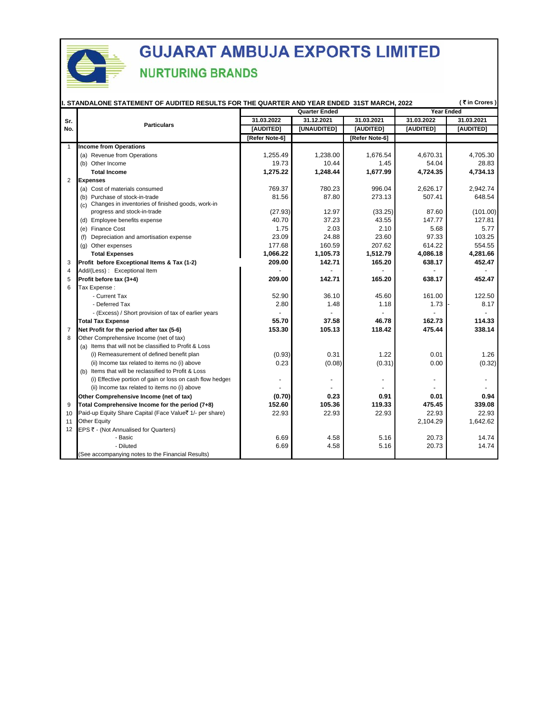

|                | (₹in Crores)<br>I. STANDALONE STATEMENT OF AUDITED RESULTS FOR THE QUARTER AND YEAR ENDED 31ST MARCH, 2022 |                |                      |                   |            |            |  |
|----------------|------------------------------------------------------------------------------------------------------------|----------------|----------------------|-------------------|------------|------------|--|
|                |                                                                                                            |                | <b>Quarter Ended</b> | <b>Year Ended</b> |            |            |  |
| Sr.            | <b>Particulars</b>                                                                                         | 31.03.2022     | 31.12.2021           | 31.03.2021        | 31.03.2022 | 31.03.2021 |  |
| No.            |                                                                                                            | [AUDITED]      | [UNAUDITED]          | [AUDITED]         | [AUDITED]  | [AUDITED]  |  |
|                |                                                                                                            | [Refer Note-6] |                      | [Refer Note-6]    |            |            |  |
| $\mathbf{1}$   | <b>Income from Operations</b>                                                                              |                |                      |                   |            |            |  |
|                | (a) Revenue from Operations                                                                                | 1,255.49       | 1,238.00             | 1,676.54          | 4,670.31   | 4,705.30   |  |
|                | (b) Other Income                                                                                           | 19.73          | 10.44                | 1.45              | 54.04      | 28.83      |  |
|                | <b>Total Income</b>                                                                                        | 1,275.22       | 1,248.44             | 1,677.99          | 4,724.35   | 4,734.13   |  |
| $\overline{2}$ | <b>Expenses</b>                                                                                            |                |                      |                   |            |            |  |
|                | (a) Cost of materials consumed                                                                             | 769.37         | 780.23               | 996.04            | 2,626.17   | 2,942.74   |  |
|                | (b) Purchase of stock-in-trade                                                                             | 81.56          | 87.80                | 273.13            | 507.41     | 648.54     |  |
|                | (c) Changes in inventories of finished goods, work-in-<br>progress and stock-in-trade                      | (27.93)        | 12.97                | (33.25)           | 87.60      | (101.00)   |  |
|                | (d) Employee benefits expense                                                                              | 40.70          | 37.23                | 43.55             | 147.77     | 127.81     |  |
|                | (e) Finance Cost                                                                                           | 1.75           | 2.03                 | 2.10              | 5.68       | 5.77       |  |
|                | Depreciation and amortisation expense<br>(f)                                                               | 23.09          | 24.88                | 23.60             | 97.33      | 103.25     |  |
|                | (g) Other expenses                                                                                         | 177.68         | 160.59               | 207.62            | 614.22     | 554.55     |  |
|                | <b>Total Expenses</b>                                                                                      | 1,066.22       | 1,105.73             | 1,512.79          | 4,086.18   | 4,281.66   |  |
| 3              | Profit before Exceptional Items & Tax (1-2)                                                                | 209.00         | 142.71               | 165.20            | 638.17     | 452.47     |  |
| 4              | Add/(Less): Exceptional Item                                                                               |                |                      |                   |            |            |  |
| 5              | Profit before tax (3+4)                                                                                    | 209.00         | 142.71               | 165.20            | 638.17     | 452.47     |  |
| 6              | Tax Expense:                                                                                               |                |                      |                   |            |            |  |
|                | - Current Tax                                                                                              | 52.90          | 36.10                | 45.60             | 161.00     | 122.50     |  |
|                | - Deferred Tax                                                                                             | 2.80           | 1.48                 | 1.18              | 1.73       | 8.17       |  |
|                | - (Excess) / Short provision of tax of earlier years                                                       |                |                      |                   |            |            |  |
|                | <b>Total Tax Expense</b>                                                                                   | 55.70          | 37.58                | 46.78             | 162.73     | 114.33     |  |
| $\overline{7}$ | Net Profit for the period after tax (5-6)                                                                  | 153.30         | 105.13               | 118.42            | 475.44     | 338.14     |  |
| 8              | Other Comprehensive Income (net of tax)                                                                    |                |                      |                   |            |            |  |
|                | (a) Items that will not be classified to Profit & Loss                                                     |                |                      |                   |            |            |  |
|                | (i) Remeasurement of defined benefit plan                                                                  | (0.93)         | 0.31                 | 1.22              | 0.01       | 1.26       |  |
|                | (ii) Income tax related to items no (i) above                                                              | 0.23           | (0.08)               | (0.31)            | 0.00       | (0.32)     |  |
|                | (b) Items that will be reclassified to Profit & Loss                                                       |                |                      |                   |            |            |  |
|                | (i) Effective portion of gain or loss on cash flow hedges                                                  |                |                      |                   |            |            |  |
|                | (ii) Income tax related to items no (i) above                                                              |                |                      |                   |            |            |  |
|                | Other Comprehensive Income (net of tax)                                                                    | (0.70)         | 0.23                 | 0.91              | 0.01       | 0.94       |  |
| 9              | Total Comprehensive Income for the period (7+8)                                                            | 152.60         | 105.36               | 119.33            | 475.45     | 339.08     |  |
| 10             | Paid-up Equity Share Capital (Face Value₹ 1/- per share)                                                   | 22.93          | 22.93                | 22.93             | 22.93      | 22.93      |  |
| 11             | Other Equity                                                                                               |                |                      |                   | 2,104.29   | 1,642.62   |  |
| 12             | EPS ₹ - (Not Annualised for Quarters)                                                                      |                |                      |                   |            |            |  |
|                | - Basic                                                                                                    | 6.69           | 4.58                 | 5.16              | 20.73      | 14.74      |  |
|                | - Diluted                                                                                                  | 6.69           | 4.58                 | 5.16              | 20.73      | 14.74      |  |
|                | (See accompanying notes to the Financial Results)                                                          |                |                      |                   |            |            |  |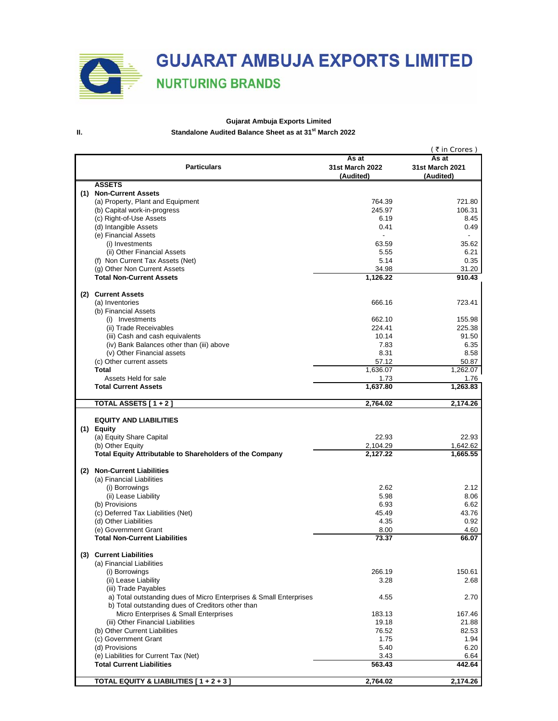# **GUJARAT AMBUJA EXPORTS LIMITED**

### **NURTURING BRANDS**

### **Gujarat Ambuja Exports Limited II. Standalone Audited Balance Sheet as at 31st March 2022**

|     |                                                                    |                 | ( ₹ in Crores ) |
|-----|--------------------------------------------------------------------|-----------------|-----------------|
|     |                                                                    | As at           | As at           |
|     | <b>Particulars</b>                                                 | 31st March 2022 | 31st March 2021 |
|     |                                                                    | (Audited)       | (Audited)       |
|     | <b>ASSETS</b>                                                      |                 |                 |
| (1) | <b>Non-Current Assets</b>                                          |                 |                 |
|     | (a) Property, Plant and Equipment                                  | 764.39          | 721.80          |
|     | (b) Capital work-in-progress                                       | 245.97          | 106.31          |
|     | (c) Right-of-Use Assets                                            | 6.19            | 8.45            |
|     | (d) Intangible Assets                                              | 0.41            | 0.49            |
|     | (e) Financial Assets                                               | $\blacksquare$  |                 |
|     | (i) Investments                                                    | 63.59           | 35.62           |
|     | (ii) Other Financial Assets                                        | 5.55            | 6.21            |
|     | (f) Non Current Tax Assets (Net)                                   | 5.14            | 0.35            |
|     | (g) Other Non Current Assets                                       | 34.98           |                 |
|     |                                                                    |                 | 31.20           |
|     | <b>Total Non-Current Assets</b>                                    | 1,126.22        | 910.43          |
|     |                                                                    |                 |                 |
|     | (2) Current Assets                                                 |                 |                 |
|     | (a) Inventories                                                    | 666.16          | 723.41          |
|     | (b) Financial Assets                                               |                 |                 |
|     | (i) Investments                                                    | 662.10          | 155.98          |
|     | (ii) Trade Receivables                                             | 224.41          | 225.38          |
|     | (iii) Cash and cash equivalents                                    | 10.14           | 91.50           |
|     | (iv) Bank Balances other than (iii) above                          | 7.83            | 6.35            |
|     | (v) Other Financial assets                                         | 8.31            | 8.58            |
|     | (c) Other current assets                                           | 57.12           | 50.87           |
|     | Total                                                              | 1,636.07        | 1,262.07        |
|     | Assets Held for sale                                               | 1.73            | 1.76            |
|     | <b>Total Current Assets</b>                                        | 1,637.80        | 1,263.83        |
|     |                                                                    |                 |                 |
|     | TOTAL ASSETS [ 1 + 2 ]                                             | 2,764.02        | 2,174.26        |
|     |                                                                    |                 |                 |
|     | <b>EQUITY AND LIABILITIES</b>                                      |                 |                 |
|     | (1) Equity                                                         |                 |                 |
|     |                                                                    |                 |                 |
|     | (a) Equity Share Capital                                           | 22.93           | 22.93           |
|     | (b) Other Equity                                                   | 2,104.29        | 1,642.62        |
|     | Total Equity Attributable to Shareholders of the Company           | 2,127.22        | 1,665.55        |
|     |                                                                    |                 |                 |
| (2) | <b>Non-Current Liabilities</b>                                     |                 |                 |
|     | (a) Financial Liabilities                                          |                 |                 |
|     | (i) Borrowings                                                     | 2.62            | 2.12            |
|     | (ii) Lease Liability                                               | 5.98            | 8.06            |
|     | (b) Provisions                                                     | 6.93            | 6.62            |
|     | (c) Deferred Tax Liabilities (Net)                                 | 45.49           | 43.76           |
|     | (d) Other Liabilities                                              | 4.35            | 0.92            |
|     | (e) Government Grant                                               | 8.00            | 4.60            |
|     | <b>Total Non-Current Liabilities</b>                               | 73.37           | 66.07           |
|     |                                                                    |                 |                 |
|     | (3) Current Liabilities                                            |                 |                 |
|     | (a) Financial Liabilities                                          |                 |                 |
|     | (i) Borrowings                                                     | 266.19          | 150.61          |
|     | (ii) Lease Liability                                               |                 |                 |
|     |                                                                    | 3.28            | 2.68            |
|     | (iii) Trade Payables                                               |                 |                 |
|     | a) Total outstanding dues of Micro Enterprises & Small Enterprises | 4.55            | 2.70            |
|     | b) Total outstanding dues of Creditors other than                  |                 |                 |
|     | Micro Enterprises & Small Enterprises                              | 183.13          | 167.46          |
|     | (iii) Other Financial Liabilities                                  | 19.18           | 21.88           |
|     | (b) Other Current Liabilities                                      | 76.52           | 82.53           |
|     | (c) Government Grant                                               | 1.75            | 1.94            |
|     | (d) Provisions                                                     | 5.40            | 6.20            |
|     | (e) Liabilities for Current Tax (Net)                              | 3.43            | 6.64            |
|     | <b>Total Current Liabilities</b>                                   | 563.43          | 442.64          |
|     |                                                                    |                 |                 |
|     | TOTAL EQUITY & LIABILITIES [1+2+3]                                 | 2,764.02        | 2,174.26        |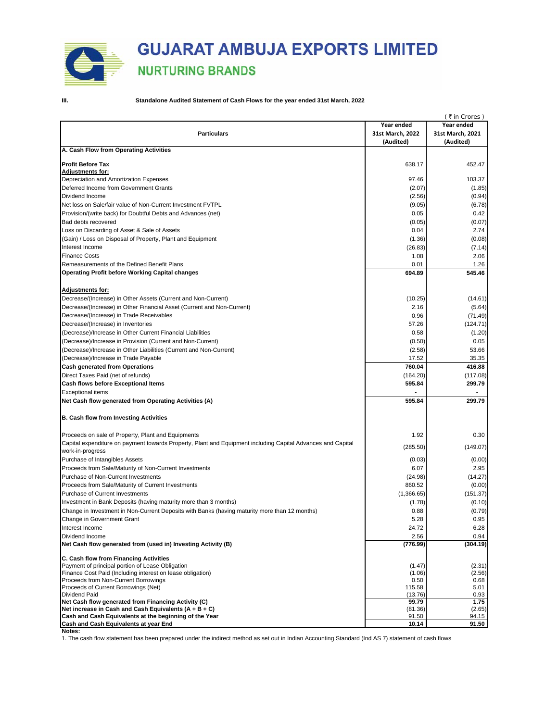

### **III. Standalone Audited Statement of Cash Flows for the year ended 31st March, 2022**

|                                                                                                             |                  | (₹in Crores)     |
|-------------------------------------------------------------------------------------------------------------|------------------|------------------|
|                                                                                                             | Year ended       | Year ended       |
| <b>Particulars</b>                                                                                          | 31st March, 2022 | 31st March, 2021 |
|                                                                                                             | (Audited)        | (Audited)        |
| A. Cash Flow from Operating Activities                                                                      |                  |                  |
|                                                                                                             |                  |                  |
| Profit Before Tax<br><b>Adjustments for:</b>                                                                | 638.17           | 452.47           |
| Depreciation and Amortization Expenses                                                                      | 97.46            | 103.37           |
| Deferred Income from Government Grants                                                                      | (2.07)           | (1.85)           |
| Dividend Income                                                                                             | (2.56)           | (0.94)           |
| Net loss on Sale/fair value of Non-Current Investment FVTPL                                                 |                  |                  |
| Provision/(write back) for Doubtful Debts and Advances (net)                                                | (9.05)           | (6.78)           |
|                                                                                                             | 0.05             | 0.42             |
| Bad debts recovered                                                                                         | (0.05)           | (0.07)           |
| Loss on Discarding of Asset & Sale of Assets                                                                | 0.04             | 2.74             |
| (Gain) / Loss on Disposal of Property, Plant and Equipment                                                  | (1.36)           | (0.08)           |
| Interest Income                                                                                             | (26.83)          | (7.14)           |
| Finance Costs                                                                                               | 1.08             | 2.06             |
| Remeasurements of the Defined Benefit Plans                                                                 | 0.01             | 1.26             |
| Operating Profit before Working Capital changes                                                             | 694.89           | 545.46           |
|                                                                                                             |                  |                  |
| <u> Adjustments for:</u>                                                                                    |                  |                  |
| Decrease/(Increase) in Other Assets (Current and Non-Current)                                               | (10.25)          | (14.61)          |
| Decrease/(Increase) in Other Financial Asset (Current and Non-Current)                                      | 2.16             | (5.64)           |
| Decrease/(Increase) in Trade Receivables                                                                    | 0.96             | (71.49)          |
| Decrease/(Increase) in Inventories                                                                          | 57.26            | (124.71)         |
| (Decrease)/Increase in Other Current Financial Liabilities                                                  | 0.58             | (1.20)           |
| (Decrease)/Increase in Provision (Current and Non-Current)                                                  | (0.50)           | 0.05             |
| (Decrease)/Increase in Other Liabilities (Current and Non-Current)                                          | (2.58)           | 53.66            |
| (Decrease)/Increase in Trade Payable                                                                        | 17.52            | 35.35            |
| Cash generated from Operations                                                                              | 760.04           | 416.88           |
| Direct Taxes Paid (net of refunds)                                                                          | (164.20)         | (117.08)         |
| Cash flows before Exceptional Items                                                                         | 595.84           | 299.79           |
| Exceptional items                                                                                           |                  |                  |
| Net Cash flow generated from Operating Activities (A)                                                       | 595.84           | 299.79           |
| B. Cash flow from Investing Activities                                                                      |                  |                  |
| Proceeds on sale of Property, Plant and Equipments                                                          | 1.92             | 0.30             |
| Capital expenditure on payment towards Property, Plant and Equipment including Capital Advances and Capital | (285.50)         | (149.07)         |
| work-in-progress                                                                                            |                  |                  |
| Purchase of Intangibles Assets                                                                              | (0.03)           | (0.00)           |
| Proceeds from Sale/Maturity of Non-Current Investments                                                      | 6.07             | 2.95             |
| Purchase of Non-Current Investments                                                                         | (24.98)          | (14.27)          |
| Proceeds from Sale/Maturity of Current Investments                                                          | 860.52           | (0.00)           |
| Purchase of Current Investments                                                                             | (1,366.65)       | (151.37)         |
| Investment in Bank Deposits (having maturity more than 3 months)                                            | (1.78)           | (0.10)           |
| Change in Investment in Non-Current Deposits with Banks (having maturity more than 12 months)               | 0.88             | (0.79)           |
| Change in Government Grant                                                                                  | 5.28             | 0.95             |
| Interest Income                                                                                             | 24.72            | 6.28             |
| Dividend Income                                                                                             | 2.56             | 0.94             |
| Net Cash flow generated from (used in) Investing Activity (B)                                               | (776.99)         | (304.19)         |
| C. Cash flow from Financing Activities                                                                      |                  |                  |
| Payment of principal portion of Lease Obligation                                                            | (1.47)           | (2.31)           |
| Finance Cost Paid (Including interest on lease obligation)                                                  | (1.06)           | (2.56)           |
| Proceeds from Non-Current Borrowings                                                                        | 0.50             | 0.68             |
| Proceeds of Current Borrowings (Net)                                                                        | 115.58           | 5.01             |
| Dividend Paid<br>Net Cash flow generated from Financing Activity (C)                                        | (13.76)<br>99.79 | 0.93<br>1.75     |
| Net increase in Cash and Cash Equivalents (A + B + C)                                                       | (81.36)          | (2.65)           |
| Cash and Cash Equivalents at the beginning of the Year                                                      | 91.50            | 94.15            |
| Cash and Cash Equivalents at year End                                                                       | 10.14            | 91.50            |

**Notes:**

1. The cash flow statement has been prepared under the indirect method as set out in Indian Accounting Standard (Ind AS 7) statement of cash flows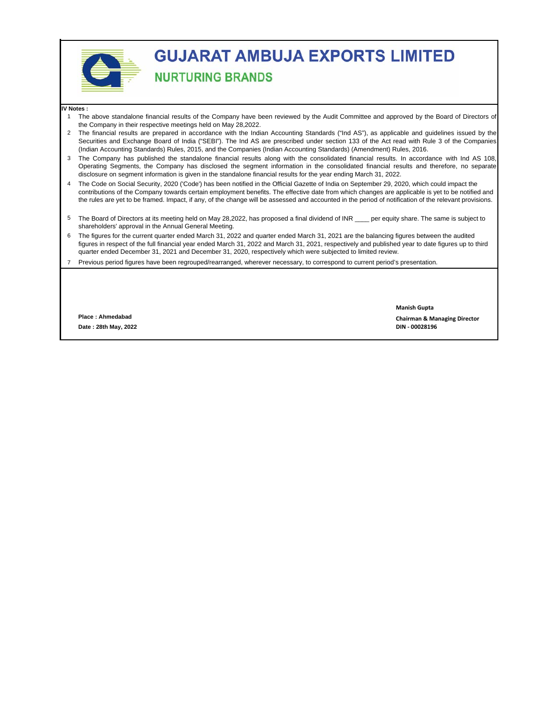

# **GUJARAT AMBUJA EXPORTS LIMITED**

### **NURTURING BRANDS**

#### **IV Notes :**

- 1 The above standalone financial results of the Company have been reviewed by the Audit Committee and approved by the Board of Directors of the Company in their respective meetings held on May 28,2022.
- 2 The financial results are prepared in accordance with the Indian Accounting Standards ("Ind AS"), as applicable and guidelines issued by the Securities and Exchange Board of India ("SEBI"). The Ind AS are prescribed under section 133 of the Act read with Rule 3 of the Companies (Indian Accounting Standards) Rules, 2015, and the Companies (Indian Accounting Standards) (Amendment) Rules, 2016.
- 3 The Company has published the standalone financial results along with the consolidated financial results. In accordance with Ind AS 108, Operating Segments, the Company has disclosed the segment information in the consolidated financial results and therefore, no separate disclosure on segment information is given in the standalone financial results for the year ending March 31, 2022.
- 4 The Code on Social Security, 2020 ('Code') has been notified in the Official Gazette of India on September 29, 2020, which could impact the contributions of the Company towards certain employment benefits. The effective date from which changes are applicable is yet to be notified and the rules are yet to be framed. Impact, if any, of the change will be assessed and accounted in the period of notification of the relevant provisions.
- 5 The Board of Directors at its meeting held on May 28,2022, has proposed a final dividend of INR \_\_\_\_ per equity share. The same is subject to shareholders' approval in the Annual General Meeting.
- 6 The figures for the current quarter ended March 31, 2022 and quarter ended March 31, 2021 are the balancing figures between the audited figures in respect of the full financial year ended March 31, 2022 and March 31, 2021, respectively and published year to date figures up to third quarter ended December 31, 2021 and December 31, 2020, respectively which were subjected to limited review.
- 7 Previous period figures have been regrouped/rearranged, wherever necessary, to correspond to current period's presentation.

**Date : 28th May, 2022 DIN ‐ 00028196 Place : Ahmedabad**

**Manish Gupta**

**Chairman & Managing Director**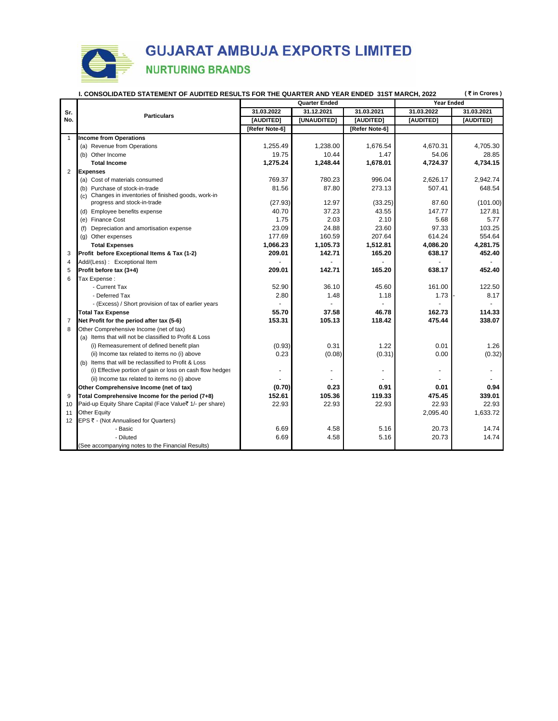|                | (₹in Crores)<br>I. CONSOLIDATED STATEMENT OF AUDITED RESULTS FOR THE QUARTER AND YEAR ENDED 31ST MARCH, 2022 |                |                      |                   |            |            |  |
|----------------|--------------------------------------------------------------------------------------------------------------|----------------|----------------------|-------------------|------------|------------|--|
|                |                                                                                                              |                | <b>Quarter Ended</b> | <b>Year Ended</b> |            |            |  |
| Sr.            | <b>Particulars</b>                                                                                           | 31.03.2022     | 31.12.2021           | 31.03.2021        | 31.03.2022 | 31.03.2021 |  |
| No.            |                                                                                                              | [AUDITED]      | [UNAUDITED]          | [AUDITED]         | [AUDITED]  | [AUDITED]  |  |
|                |                                                                                                              | [Refer Note-6] |                      | [Refer Note-6]    |            |            |  |
| $\mathbf{1}$   | <b>Income from Operations</b>                                                                                |                |                      |                   |            |            |  |
|                | (a) Revenue from Operations                                                                                  | 1,255.49       | 1,238.00             | 1,676.54          | 4,670.31   | 4,705.30   |  |
|                | (b) Other Income                                                                                             | 19.75          | 10.44                | 1.47              | 54.06      | 28.85      |  |
|                | <b>Total Income</b>                                                                                          | 1,275.24       | 1,248.44             | 1,678.01          | 4,724.37   | 4,734.15   |  |
| $\overline{2}$ | <b>Expenses</b>                                                                                              |                |                      |                   |            |            |  |
|                | (a) Cost of materials consumed                                                                               | 769.37         | 780.23               | 996.04            | 2,626.17   | 2,942.74   |  |
|                | (b) Purchase of stock-in-trade                                                                               | 81.56          | 87.80                | 273.13            | 507.41     | 648.54     |  |
|                | (c) Changes in inventories of finished goods, work-in                                                        |                |                      |                   |            |            |  |
|                | progress and stock-in-trade                                                                                  | (27.93)        | 12.97                | (33.25)           | 87.60      | (101.00)   |  |
|                | (d) Employee benefits expense                                                                                | 40.70          | 37.23                | 43.55             | 147.77     | 127.81     |  |
|                | (e) Finance Cost                                                                                             | 1.75           | 2.03                 | 2.10              | 5.68       | 5.77       |  |
|                | (f) Depreciation and amortisation expense                                                                    | 23.09          | 24.88                | 23.60             | 97.33      | 103.25     |  |
|                | (g) Other expenses                                                                                           | 177.69         | 160.59               | 207.64            | 614.24     | 554.64     |  |
|                | <b>Total Expenses</b>                                                                                        | 1,066.23       | 1,105.73             | 1,512.81          | 4,086.20   | 4,281.75   |  |
| 3              | Profit before Exceptional Items & Tax (1-2)                                                                  | 209.01         | 142.71               | 165.20            | 638.17     | 452.40     |  |
| $\overline{4}$ | Add/(Less): Exceptional Item                                                                                 |                |                      |                   |            |            |  |
| 5              | Profit before tax (3+4)                                                                                      | 209.01         | 142.71               | 165.20            | 638.17     | 452.40     |  |
| 6              | Tax Expense:                                                                                                 |                |                      |                   |            |            |  |
|                | - Current Tax                                                                                                | 52.90          | 36.10                | 45.60             | 161.00     | 122.50     |  |
|                | - Deferred Tax                                                                                               | 2.80           | 1.48                 | 1.18              | 1.73       | 8.17       |  |
|                | - (Excess) / Short provision of tax of earlier years                                                         |                |                      |                   |            |            |  |
|                | <b>Total Tax Expense</b>                                                                                     | 55.70          | 37.58                | 46.78             | 162.73     | 114.33     |  |
| $\overline{7}$ | Net Profit for the period after tax (5-6)                                                                    | 153.31         | 105.13               | 118.42            | 475.44     | 338.07     |  |
| 8              | Other Comprehensive Income (net of tax)                                                                      |                |                      |                   |            |            |  |
|                | (a) Items that will not be classified to Profit & Loss                                                       |                |                      |                   |            |            |  |
|                | (i) Remeasurement of defined benefit plan                                                                    | (0.93)         | 0.31                 | 1.22              | 0.01       | 1.26       |  |
|                | (ii) Income tax related to items no (i) above                                                                | 0.23           | (0.08)               | (0.31)            | 0.00       | (0.32)     |  |
|                | (b) Items that will be reclassified to Profit & Loss                                                         |                |                      |                   |            |            |  |
|                | (i) Effective portion of gain or loss on cash flow hedges                                                    |                |                      | ٠                 |            |            |  |
|                | (ii) Income tax related to items no (i) above                                                                |                |                      |                   |            |            |  |
|                | Other Comprehensive Income (net of tax)                                                                      | (0.70)         | 0.23                 | 0.91              | 0.01       | 0.94       |  |
| 9              | Total Comprehensive Income for the period (7+8)                                                              | 152.61         | 105.36               | 119.33            | 475.45     | 339.01     |  |
| 10             | Paid-up Equity Share Capital (Face Value₹ 1/- per share)                                                     | 22.93          | 22.93                | 22.93             | 22.93      | 22.93      |  |
| 11             | Other Equity                                                                                                 |                |                      |                   | 2,095.40   | 1,633.72   |  |
| 12             | EPS ₹ - (Not Annualised for Quarters)                                                                        |                |                      |                   |            |            |  |
|                | - Basic                                                                                                      | 6.69           | 4.58                 | 5.16              | 20.73      | 14.74      |  |
|                | - Diluted                                                                                                    | 6.69           | 4.58                 | 5.16              | 20.73      | 14.74      |  |
|                | (See accompanying notes to the Financial Results)                                                            |                |                      |                   |            |            |  |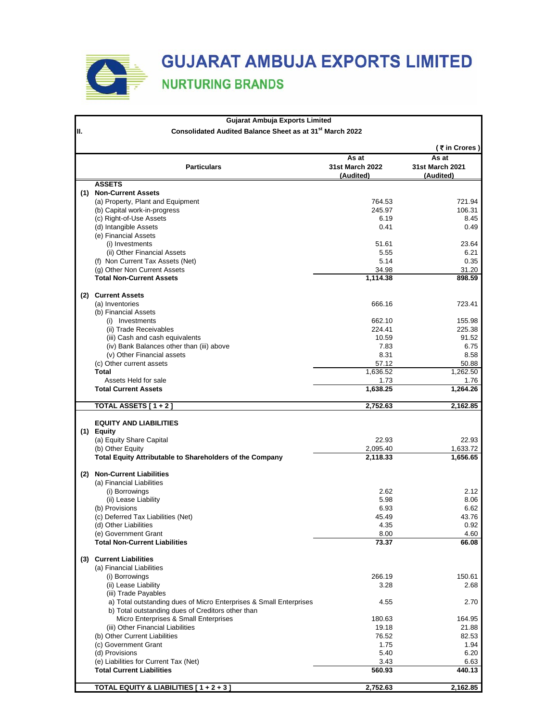

|     | Gujarat Ambuja Exports Limited                                               |                          |                          |
|-----|------------------------------------------------------------------------------|--------------------------|--------------------------|
| II. | Consolidated Audited Balance Sheet as at 31st March 2022                     |                          |                          |
|     |                                                                              |                          | (₹in Crores)             |
|     | <b>Particulars</b>                                                           | As at<br>31st March 2022 | As at<br>31st March 2021 |
|     |                                                                              | (Audited)                | (Audited)                |
|     | <b>ASSETS</b><br>(1) Non-Current Assets                                      |                          |                          |
|     | (a) Property, Plant and Equipment                                            | 764.53                   | 721.94                   |
|     | (b) Capital work-in-progress                                                 | 245.97                   | 106.31                   |
|     | (c) Right-of-Use Assets                                                      | 6.19                     | 8.45                     |
|     | (d) Intangible Assets                                                        | 0.41                     | 0.49                     |
|     | (e) Financial Assets                                                         |                          |                          |
|     | (i) Investments                                                              | 51.61<br>5.55            | 23.64<br>6.21            |
|     | (ii) Other Financial Assets<br>(f) Non Current Tax Assets (Net)              | 5.14                     | 0.35                     |
|     | (g) Other Non Current Assets                                                 | 34.98                    | 31.20                    |
|     | <b>Total Non-Current Assets</b>                                              | 1,114.38                 | 898.59                   |
|     |                                                                              |                          |                          |
|     | (2) Current Assets<br>(a) Inventories                                        | 666.16                   | 723.41                   |
|     | (b) Financial Assets                                                         |                          |                          |
|     | (i) Investments                                                              | 662.10                   | 155.98                   |
|     | (ii) Trade Receivables                                                       | 224.41                   | 225.38                   |
|     | (iii) Cash and cash equivalents                                              | 10.59                    | 91.52                    |
|     | (iv) Bank Balances other than (iii) above                                    | 7.83                     | 6.75                     |
|     | (v) Other Financial assets                                                   | 8.31                     | 8.58                     |
|     | (c) Other current assets<br>Total                                            | 57.12<br>1,636.52        | 50.88<br>1,262.50        |
|     | Assets Held for sale                                                         | 1.73                     | 1.76                     |
|     | <b>Total Current Assets</b>                                                  | 1,638.25                 | 1,264.26                 |
|     |                                                                              |                          |                          |
|     | TOTAL ASSETS [ 1 + 2 ]                                                       | 2,752.63                 | 2,162.85                 |
|     | <b>EQUITY AND LIABILITIES</b>                                                |                          |                          |
|     | (1) Equity                                                                   |                          |                          |
|     | (a) Equity Share Capital                                                     | 22.93                    | 22.93                    |
|     | (b) Other Equity<br>Total Equity Attributable to Shareholders of the Company | 2,095.40<br>2,118.33     | 1,633.72<br>1,656.65     |
|     |                                                                              |                          |                          |
| (2) | <b>Non-Current Liabilities</b>                                               |                          |                          |
|     | (a) Financial Liabilities                                                    |                          |                          |
|     | (i) Borrowings                                                               | 2.62                     | 2.12                     |
|     | (ii) Lease Liability<br>(b) Provisions                                       | 5.98<br>6.93             | 8.06<br>6.62             |
|     | (c) Deferred Tax Liabilities (Net)                                           | 45.49                    | 43.76                    |
|     | (d) Other Liabilities                                                        | 4.35                     | 0.92                     |
|     | (e) Government Grant                                                         | 8.00                     | 4.60                     |
|     | <b>Total Non-Current Liabilities</b>                                         | 73.37                    | 66.08                    |
|     | (3) Current Liabilities                                                      |                          |                          |
|     | (a) Financial Liabilities                                                    |                          |                          |
|     | (i) Borrowings                                                               | 266.19                   | 150.61                   |
|     | (ii) Lease Liability                                                         | 3.28                     | 2.68                     |
|     | (iii) Trade Payables                                                         |                          |                          |
|     | a) Total outstanding dues of Micro Enterprises & Small Enterprises           | 4.55                     | 2.70                     |
|     | b) Total outstanding dues of Creditors other than                            |                          |                          |
|     | Micro Enterprises & Small Enterprises                                        | 180.63                   | 164.95                   |
|     | (iii) Other Financial Liabilities<br>(b) Other Current Liabilities           | 19.18<br>76.52           | 21.88<br>82.53           |
|     | (c) Government Grant                                                         | 1.75                     | 1.94                     |
|     | (d) Provisions                                                               | 5.40                     | 6.20                     |
|     | (e) Liabilities for Current Tax (Net)                                        | 3.43                     | 6.63                     |
|     | <b>Total Current Liabilities</b>                                             | 560.93                   | 440.13                   |
|     |                                                                              |                          |                          |
|     | TOTAL EQUITY & LIABILITIES [1+2+3]                                           | 2,752.63                 | 2,162.85                 |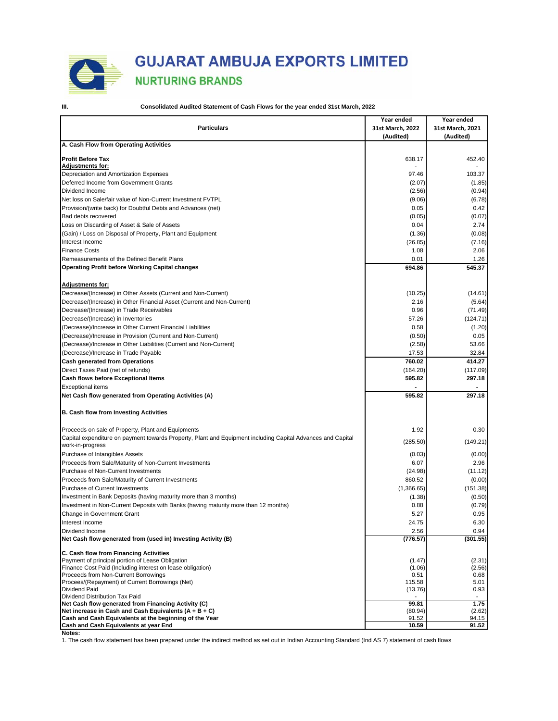

### **GUJARAT AMBUJA EXPORTS LIMITED**

### **NURTURING BRANDS**

**III. Consolidated Audited Statement of Cash Flows for the year ended 31st March, 2022**

|                                                                                                             | Year ended       | Year ended       |
|-------------------------------------------------------------------------------------------------------------|------------------|------------------|
| <b>Particulars</b>                                                                                          | 31st March, 2022 | 31st March, 2021 |
| A. Cash Flow from Operating Activities                                                                      | (Audited)        | (Audited)        |
|                                                                                                             |                  |                  |
| <b>Profit Before Tax</b>                                                                                    | 638.17           | 452.40           |
| <b>Adjustments for:</b><br>Depreciation and Amortization Expenses                                           | 97.46            | 103.37           |
| Deferred Income from Government Grants                                                                      | (2.07)           | (1.85)           |
| Dividend Income                                                                                             | (2.56)           | (0.94)           |
| Net loss on Sale/fair value of Non-Current Investment FVTPL                                                 | (9.06)           | (6.78)           |
|                                                                                                             | 0.05             |                  |
| Provision/(write back) for Doubtful Debts and Advances (net)                                                |                  | 0.42             |
| Bad debts recovered                                                                                         | (0.05)           | (0.07)           |
| Loss on Discarding of Asset & Sale of Assets                                                                | 0.04             | 2.74             |
| (Gain) / Loss on Disposal of Property, Plant and Equipment                                                  | (1.36)           | (0.08)           |
| Interest Income                                                                                             | (26.85)          | (7.16)           |
| <b>Finance Costs</b>                                                                                        | 1.08             | 2.06             |
| Remeasurements of the Defined Benefit Plans                                                                 | 0.01             | 1.26             |
| <b>Operating Profit before Working Capital changes</b>                                                      | 694.86           | 545.37           |
| <b>Adjustments for:</b>                                                                                     |                  |                  |
| Decrease/(Increase) in Other Assets (Current and Non-Current)                                               | (10.25)          | (14.61)          |
| Decrease/(Increase) in Other Financial Asset (Current and Non-Current)                                      | 2.16             | (5.64)           |
| Decrease/(Increase) in Trade Receivables                                                                    | 0.96             | (71.49)          |
| Decrease/(Increase) in Inventories                                                                          | 57.26            | (124.71)         |
| (Decrease)/Increase in Other Current Financial Liabilities                                                  | 0.58             | (1.20)           |
| (Decrease)/Increase in Provision (Current and Non-Current)                                                  | (0.50)           | 0.05             |
| (Decrease)/Increase in Other Liabilities (Current and Non-Current)                                          | (2.58)           | 53.66            |
| (Decrease)/Increase in Trade Payable                                                                        | 17.53            | 32.84            |
| <b>Cash generated from Operations</b>                                                                       | 760.02           | 414.27           |
| Direct Taxes Paid (net of refunds)                                                                          | (164.20)         | (117.09)         |
| Cash flows before Exceptional Items                                                                         | 595.82           | 297.18           |
|                                                                                                             |                  |                  |
| <b>Exceptional items</b><br>Net Cash flow generated from Operating Activities (A)                           | 595.82           | 297.18           |
|                                                                                                             |                  |                  |
| <b>B. Cash flow from Investing Activities</b>                                                               |                  |                  |
| Proceeds on sale of Property, Plant and Equipments                                                          | 1.92             | 0.30             |
| Capital expenditure on payment towards Property, Plant and Equipment including Capital Advances and Capital | (285.50)         | (149.21)         |
| work-in-progress                                                                                            |                  |                  |
| Purchase of Intangibles Assets                                                                              | (0.03)           | (0.00)           |
| Proceeds from Sale/Maturity of Non-Current Investments                                                      | 6.07             | 2.96             |
| Purchase of Non-Current Investments                                                                         | (24.98)          | (11.12)          |
| Proceeds from Sale/Maturity of Current Investments                                                          | 860.52           | (0.00)           |
| Purchase of Current Investments                                                                             | (1,366.65)       | (151.38)         |
| Investment in Bank Deposits (having maturity more than 3 months)                                            | (1.38)           | (0.50)           |
| Investment in Non-Current Deposits with Banks (having maturity more than 12 months)                         | 0.88             | (0.79)           |
| Change in Government Grant                                                                                  | 5.27             | 0.95             |
| Interest Income                                                                                             | 24.75            | 6.30             |
| Dividend Income                                                                                             | 2.56             | 0.94             |
| Net Cash flow generated from (used in) Investing Activity (B)                                               | (776.57)         | (301.55)         |
| C. Cash flow from Financing Activities                                                                      |                  |                  |
| Payment of principal portion of Lease Obligation                                                            | (1.47)           | (2.31)           |
| Finance Cost Paid (Including interest on lease obligation)                                                  | (1.06)           | (2.56)           |
| Proceeds from Non-Current Borrowings<br>Procees/(Repayment) of Current Borrowings (Net)                     | 0.51<br>115.58   | 0.68<br>5.01     |
| Dividend Paid                                                                                               | (13.76)          | 0.93             |
| Dividend Distribution Tax Paid                                                                              |                  |                  |
| Net Cash flow generated from Financing Activity (C)                                                         | 99.81            | 1.75             |
| Net increase in Cash and Cash Equivalents $(A + B + C)$                                                     | (80.94)          | (2.62)           |
| Cash and Cash Equivalents at the beginning of the Year                                                      | 91.52            | 94.15            |
| Cash and Cash Equivalents at year End                                                                       | 10.59            | 91.52            |

**Notes:**

1. The cash flow statement has been prepared under the indirect method as set out in Indian Accounting Standard (Ind AS 7) statement of cash flows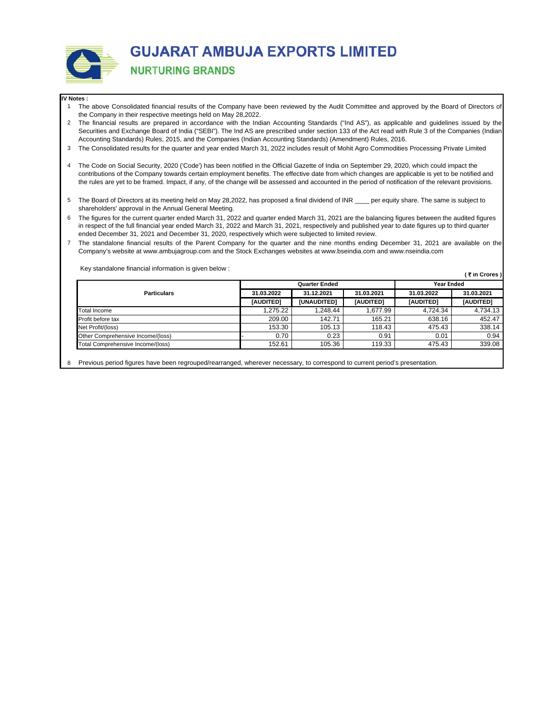

#### **IV Notes :**

- 1 The above Consolidated financial results of the Company have been reviewed by the Audit Committee and approved by the Board of Directors of the Company in their respective meetings held on May 28,2022.
- 2 The financial results are prepared in accordance with the Indian Accounting Standards ("Ind AS"), as applicable and guidelines issued by the Securities and Exchange Board of India ("SEBI"). The Ind AS are prescribed under section 133 of the Act read with Rule 3 of the Companies (Indian Accounting Standards) Rules, 2015, and the Companies (Indian Accounting Standards) (Amendment) Rules, 2016.
- 3 The Consolidated results for the quarter and year ended March 31, 2022 includes result of Mohit Agro Commodities Processing Private Limited
- 4 The Code on Social Security, 2020 ('Code') has been notified in the Official Gazette of India on September 29, 2020, which could impact the contributions of the Company towards certain employment benefits. The effective date from which changes are applicable is yet to be notified and the rules are yet to be framed. Impact, if any, of the change will be assessed and accounted in the period of notification of the relevant provisions.
- 5 The Board of Directors at its meeting held on May 28,2022, has proposed a final dividend of INR \_\_\_\_ per equity share. The same is subject to shareholders' approval in the Annual General Meeting.
- 6 The figures for the current quarter ended March 31, 2022 and quarter ended March 31, 2021 are the balancing figures between the audited figures in respect of the full financial year ended March 31, 2022 and March 31, 2021, respectively and published year to date figures up to third quarter ended December 31, 2021 and December 31, 2020, respectively which were subjected to limited review.
- 7 The standalone financial results of the Parent Company for the quarter and the nine months ending December 31, 2021 are available on the Company's website at www.ambujagroup.com and the Stock Exchanges websites at www.bseindia.com and www.nseindia.com

Key standalone financial information is given below :

**(** ` **in Crores )**

|                                   |            | <b>Quarter Ended</b> | <b>Year Ended</b> |                  |            |
|-----------------------------------|------------|----------------------|-------------------|------------------|------------|
| <b>Particulars</b>                | 31.03.2022 | 31.12.2021           | 31.03.2021        | 31.03.2022       | 31.03.2021 |
|                                   | [AUDITED]  | <b>[UNAUDITED]</b>   | [AUDITED]         | <b>IAUDITED1</b> | [AUDITED]  |
| <b>Total Income</b>               | 1.275.22   | .248.44              | 1.677.99          | 4.724.34         | 4.734.13   |
| Profit before tax                 | 209.00     | 142.71               | 165.21            | 638.16           | 452.47     |
| Net Profit/(loss)                 | 153.30     | 105.13               | 118.43            | 475.43           | 338.14     |
| Other Comprehensive Income/(loss) | 0.70       | 0.23                 | 0.91              | 0.01             | 0.94       |
| Total Comprehensive Income/(loss) | 152.61     | 105.36               | 119.33            | 475.43           | 339.08     |

8 Previous period figures have been regrouped/rearranged, wherever necessary, to correspond to current period's presentation.